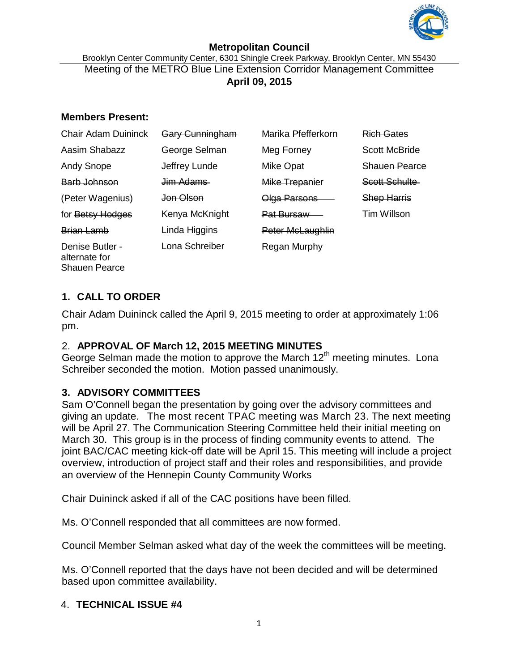

#### **Metropolitan Council** Brooklyn Center Community Center, 6301 Shingle Creek Parkway, Brooklyn Center, MN 55430 Meeting of the METRO Blue Line Extension Corridor Management Committee **April 09, 2015**

#### **Members Present:**

| <b>Chair Adam Duininck</b>                               | Gary Cunningham       | Marika Pfefferkorn | <b>Rich Gates</b>    |
|----------------------------------------------------------|-----------------------|--------------------|----------------------|
| Aasim Shabazz                                            | George Selman         | Meg Forney         | <b>Scott McBride</b> |
| <b>Andy Snope</b>                                        | Jeffrey Lunde         | Mike Opat          | Shauen Pearce        |
| Barb Johnson                                             | <del>Jim Adams-</del> | Mike Trepanier     | Scott Schulte        |
| (Peter Wagenius)                                         | <del>Jon Olson</del>  | Olga Parsons       | <b>Shep Harris</b>   |
| for Betsy Hodges                                         | Kenya McKnight        | Pat Bursaw         | <b>Tim Willson</b>   |
| <b>Brian Lamb</b>                                        | Linda Higgins         | Peter McLaughlin   |                      |
| Denise Butler -<br>alternate for<br><b>Shauen Pearce</b> | Lona Schreiber        | Regan Murphy       |                      |

# **1. CALL TO ORDER**

Chair Adam Duininck called the April 9, 2015 meeting to order at approximately 1:06 pm.

# 2. **APPROVAL OF March 12, 2015 MEETING MINUTES**

George Selman made the motion to approve the March  $12<sup>th</sup>$  meeting minutes. Lona Schreiber seconded the motion. Motion passed unanimously.

# **3. ADVISORY COMMITTEES**

Sam O'Connell began the presentation by going over the advisory committees and giving an update. The most recent TPAC meeting was March 23. The next meeting will be April 27. The Communication Steering Committee held their initial meeting on March 30. This group is in the process of finding community events to attend. The joint BAC/CAC meeting kick-off date will be April 15. This meeting will include a project overview, introduction of project staff and their roles and responsibilities, and provide an overview of the Hennepin County Community Works

Chair Duininck asked if all of the CAC positions have been filled.

Ms. O'Connell responded that all committees are now formed.

Council Member Selman asked what day of the week the committees will be meeting.

Ms. O'Connell reported that the days have not been decided and will be determined based upon committee availability.

# 4. **TECHNICAL ISSUE #4**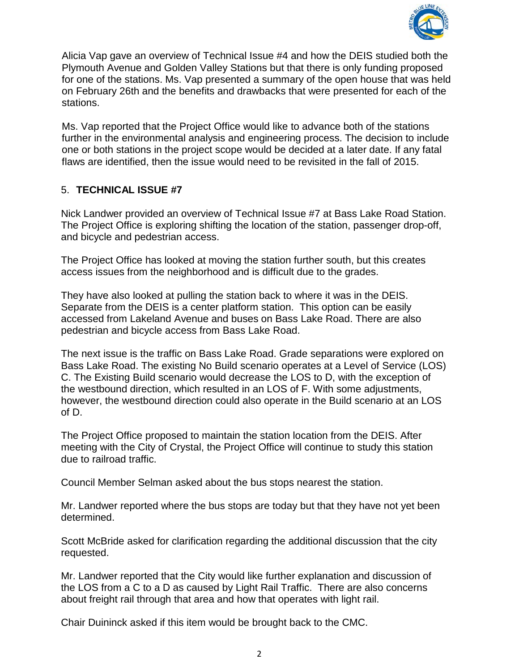

Alicia Vap gave an overview of Technical Issue #4 and how the DEIS studied both the Plymouth Avenue and Golden Valley Stations but that there is only funding proposed for one of the stations. Ms. Vap presented a summary of the open house that was held on February 26th and the benefits and drawbacks that were presented for each of the stations.

Ms. Vap reported that the Project Office would like to advance both of the stations further in the environmental analysis and engineering process. The decision to include one or both stations in the project scope would be decided at a later date. If any fatal flaws are identified, then the issue would need to be revisited in the fall of 2015.

# 5. **TECHNICAL ISSUE #7**

Nick Landwer provided an overview of Technical Issue #7 at Bass Lake Road Station. The Project Office is exploring shifting the location of the station, passenger drop-off, and bicycle and pedestrian access.

The Project Office has looked at moving the station further south, but this creates access issues from the neighborhood and is difficult due to the grades.

They have also looked at pulling the station back to where it was in the DEIS. Separate from the DEIS is a center platform station. This option can be easily accessed from Lakeland Avenue and buses on Bass Lake Road. There are also pedestrian and bicycle access from Bass Lake Road.

The next issue is the traffic on Bass Lake Road. Grade separations were explored on Bass Lake Road. The existing No Build scenario operates at a Level of Service (LOS) C. The Existing Build scenario would decrease the LOS to D, with the exception of the westbound direction, which resulted in an LOS of F. With some adjustments, however, the westbound direction could also operate in the Build scenario at an LOS of D.

The Project Office proposed to maintain the station location from the DEIS. After meeting with the City of Crystal, the Project Office will continue to study this station due to railroad traffic.

Council Member Selman asked about the bus stops nearest the station.

Mr. Landwer reported where the bus stops are today but that they have not yet been determined.

Scott McBride asked for clarification regarding the additional discussion that the city requested.

Mr. Landwer reported that the City would like further explanation and discussion of the LOS from a C to a D as caused by Light Rail Traffic. There are also concerns about freight rail through that area and how that operates with light rail.

Chair Duininck asked if this item would be brought back to the CMC.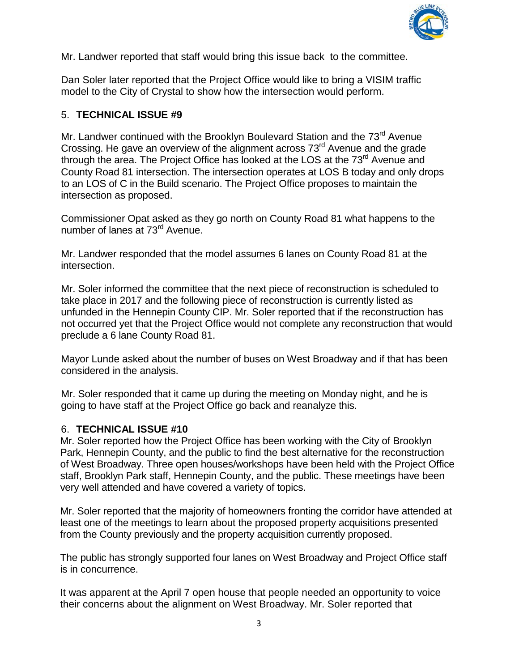

Mr. Landwer reported that staff would bring this issue back to the committee.

Dan Soler later reported that the Project Office would like to bring a VISIM traffic model to the City of Crystal to show how the intersection would perform.

#### 5. **TECHNICAL ISSUE #9**

Mr. Landwer continued with the Brooklyn Boulevard Station and the 73<sup>rd</sup> Avenue Crossing. He gave an overview of the alignment across 73<sup>rd</sup> Avenue and the grade through the area. The Project Office has looked at the LOS at the 73<sup>rd</sup> Avenue and County Road 81 intersection. The intersection operates at LOS B today and only drops to an LOS of C in the Build scenario. The Project Office proposes to maintain the intersection as proposed.

Commissioner Opat asked as they go north on County Road 81 what happens to the number of lanes at 73<sup>rd</sup> Avenue.

Mr. Landwer responded that the model assumes 6 lanes on County Road 81 at the intersection.

Mr. Soler informed the committee that the next piece of reconstruction is scheduled to take place in 2017 and the following piece of reconstruction is currently listed as unfunded in the Hennepin County CIP. Mr. Soler reported that if the reconstruction has not occurred yet that the Project Office would not complete any reconstruction that would preclude a 6 lane County Road 81.

Mayor Lunde asked about the number of buses on West Broadway and if that has been considered in the analysis.

Mr. Soler responded that it came up during the meeting on Monday night, and he is going to have staff at the Project Office go back and reanalyze this.

# 6. **TECHNICAL ISSUE #10**

Mr. Soler reported how the Project Office has been working with the City of Brooklyn Park, Hennepin County, and the public to find the best alternative for the reconstruction of West Broadway. Three open houses/workshops have been held with the Project Office staff, Brooklyn Park staff, Hennepin County, and the public. These meetings have been very well attended and have covered a variety of topics.

Mr. Soler reported that the majority of homeowners fronting the corridor have attended at least one of the meetings to learn about the proposed property acquisitions presented from the County previously and the property acquisition currently proposed.

The public has strongly supported four lanes on West Broadway and Project Office staff is in concurrence.

It was apparent at the April 7 open house that people needed an opportunity to voice their concerns about the alignment on West Broadway. Mr. Soler reported that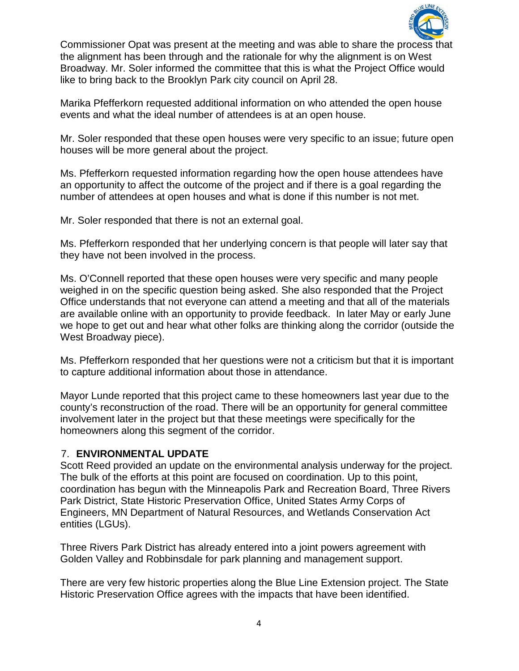

Commissioner Opat was present at the meeting and was able to share the process that the alignment has been through and the rationale for why the alignment is on West Broadway. Mr. Soler informed the committee that this is what the Project Office would like to bring back to the Brooklyn Park city council on April 28.

Marika Pfefferkorn requested additional information on who attended the open house events and what the ideal number of attendees is at an open house.

Mr. Soler responded that these open houses were very specific to an issue; future open houses will be more general about the project.

Ms. Pfefferkorn requested information regarding how the open house attendees have an opportunity to affect the outcome of the project and if there is a goal regarding the number of attendees at open houses and what is done if this number is not met.

Mr. Soler responded that there is not an external goal.

Ms. Pfefferkorn responded that her underlying concern is that people will later say that they have not been involved in the process.

Ms. O'Connell reported that these open houses were very specific and many people weighed in on the specific question being asked. She also responded that the Project Office understands that not everyone can attend a meeting and that all of the materials are available online with an opportunity to provide feedback. In later May or early June we hope to get out and hear what other folks are thinking along the corridor (outside the West Broadway piece).

Ms. Pfefferkorn responded that her questions were not a criticism but that it is important to capture additional information about those in attendance.

Mayor Lunde reported that this project came to these homeowners last year due to the county's reconstruction of the road. There will be an opportunity for general committee involvement later in the project but that these meetings were specifically for the homeowners along this segment of the corridor.

# 7. **ENVIRONMENTAL UPDATE**

Scott Reed provided an update on the environmental analysis underway for the project. The bulk of the efforts at this point are focused on coordination. Up to this point, coordination has begun with the Minneapolis Park and Recreation Board, Three Rivers Park District, State Historic Preservation Office, United States Army Corps of Engineers, MN Department of Natural Resources, and Wetlands Conservation Act entities (LGUs).

Three Rivers Park District has already entered into a joint powers agreement with Golden Valley and Robbinsdale for park planning and management support.

There are very few historic properties along the Blue Line Extension project. The State Historic Preservation Office agrees with the impacts that have been identified.